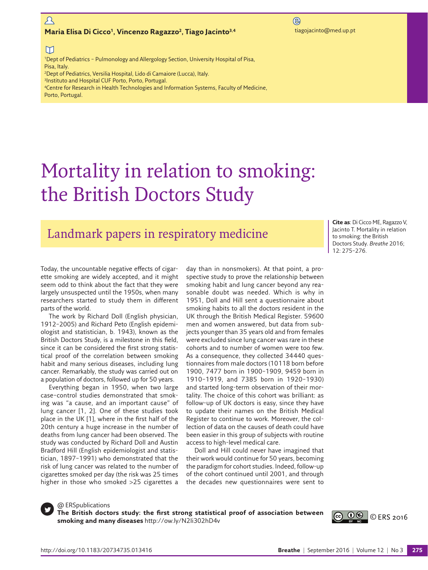# $\mathcal{L}$

### **Maria Elisa Di Cicco<sup>1</sup>, Vincenzo Ragazzo<sup>2</sup>, Tiago Jacinto<sup>3,4</sup> tiagojacinto@med.up.pt**

 $\bigcirc$ 

## $\Box$

<sup>1</sup>Dept of Pediatrics - Pulmonology and Allergology Section, University Hospital of Pisa, Pisa, Italy. 2Dept of Pediatrics, Versilia Hospital, Lido di Camaiore (Lucca), Italy.

3Instituto and Hospital CUF Porto, Porto, Portugal.

4Centre for Research in Health Technologies and Information Systems, Faculty of Medicine,

Porto, Portugal.

# Mortality in relation to smoking: the British Doctors Study

# Landmark papers in respiratory medicine

**Cite as**: Di Cicco ME, Ragazzo V, Jacinto T. Mortality in relation to smoking: the British Doctors Study. *Breathe* 2016; 12: 275–276.

Today, the uncountable negative effects of cigarette smoking are widely accepted, and it might seem odd to think about the fact that they were largely unsuspected until the 1950s, when many researchers started to study them in different parts of the world.

The work by Richard Doll (English physician, 1912–2005) and Richard Peto (English epidemiologist and statistician, b. 1943), known as the British Doctors Study, is a milestone in this field, since it can be considered the first strong statistical proof of the correlation between smoking habit and many serious diseases, including lung cancer. Remarkably, the study was carried out on a population of doctors, followed up for 50 years.

Everything began in 1950, when two large case–control studies demonstrated that smoking was "a cause, and an important cause" of lung cancer [[1,](#page-1-0) [2\]](#page-1-1). One of these studies took place in the UK [[1](#page-1-0)], where in the first half of the 20th century a huge increase in the number of deaths from lung cancer had been observed. The study was conducted by Richard Doll and Austin Bradford Hill (English epidemiologist and statistician, 1897–1991) who demonstrated that the risk of lung cancer was related to the number of cigarettes smoked per day (the risk was 25 times higher in those who smoked >25 cigarettes a

day than in nonsmokers). At that point, a prospective study to prove the relationship between smoking habit and lung cancer beyond any reasonable doubt was needed. Which is why in 1951, Doll and Hill sent a questionnaire about smoking habits to all the doctors resident in the UK through the British Medical Register. 59600 men and women answered, but data from subjects younger than 35 years old and from females were excluded since lung cancer was rare in these cohorts and to number of women were too few. As a consequence, they collected 34440 questionnaires from male doctors (10118 born before 1900, 7477 born in 1900–1909, 9459 born in 1910–1919, and 7385 born in 1920–1930) and started long-term observation of their mortality. The choice of this cohort was brilliant: as follow-up of UK doctors is easy, since they have to update their names on the British Medical Register to continue to work. Moreover, the collection of data on the causes of death could have been easier in this group of subjects with routine access to high-level medical care.

Doll and Hill could never have imagined that their work would continue for 50 years, becoming the paradigm for cohort studies. Indeed, follow-up of the cohort continued until 2001, and through the decades new questionnaires were sent to

@ ERSpublications

**The British doctors study: the first strong statistical proof of association between smoking and many diseases**<http://ow.ly/N2Ii302hD4v>